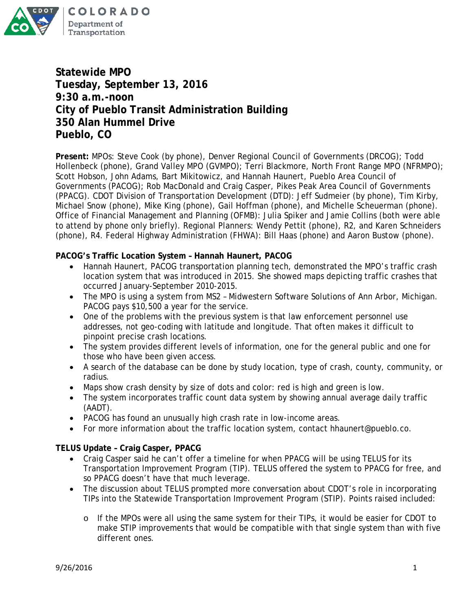

**Statewide MPO Tuesday, September 13, 2016 9:30 a.m.-noon City of Pueblo Transit Administration Building 350 Alan Hummel Drive Pueblo, CO**

**Present:** MPOs: Steve Cook (by phone), Denver Regional Council of Governments (DRCOG); Todd Hollenbeck (phone), Grand Valley MPO (GVMPO); Terri Blackmore, North Front Range MPO (NFRMPO); Scott Hobson, John Adams, Bart Mikitowicz, and Hannah Haunert, Pueblo Area Council of Governments (PACOG); Rob MacDonald and Craig Casper, Pikes Peak Area Council of Governments (PPACG). CDOT Division of Transportation Development (DTD): Jeff Sudmeier (by phone), Tim Kirby, Michael Snow (phone), Mike King (phone), Gail Hoffman (phone), and Michelle Scheuerman (phone). Office of Financial Management and Planning (OFMB): Julia Spiker and Jamie Collins (both were able to attend by phone only briefly). Regional Planners: Wendy Pettit (phone), R2, and Karen Schneiders (phone), R4. Federal Highway Administration (FHWA): Bill Haas (phone) and Aaron Bustow (phone).

## **PACOG's Traffic Location System – Hannah Haunert, PACOG**

- Hannah Haunert, PACOG transportation planning tech, demonstrated the MPO's traffic crash location system that was introduced in 2015. She showed maps depicting traffic crashes that occurred January-September 2010-2015.
- The MPO is using a system from MS2 Midwestern Software Solutions of Ann Arbor, Michigan. PACOG pays \$10,500 a year for the service.
- One of the problems with the previous system is that law enforcement personnel use addresses, not geo-coding with latitude and longitude. That often makes it difficult to pinpoint precise crash locations.
- The system provides different levels of information, one for the general public and one for those who have been given access.
- A search of the database can be done by study location, type of crash, county, community, or radius.
- Maps show crash density by size of dots and color: red is high and green is low.
- The system incorporates traffic count data system by showing annual average daily traffic (AADT).
- PACOG has found an unusually high crash rate in low-income areas.
- For more information about the traffic location system, contact hhaunert@pueblo.co.

## **TELUS Update – Craig Casper, PPACG**

- Craig Casper said he can't offer a timeline for when PPACG will be using TELUS for its Transportation Improvement Program (TIP). TELUS offered the system to PPACG for free, and so PPACG doesn't have that much leverage.
- The discussion about TELUS prompted more conversation about CDOT's role in incorporating TIPs into the Statewide Transportation Improvement Program (STIP). Points raised included:
	- o If the MPOs were all using the same system for their TIPs, it would be easier for CDOT to make STIP improvements that would be compatible with that single system than with five different ones.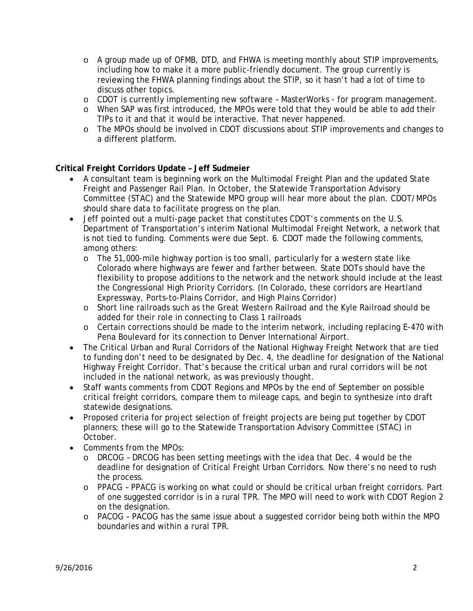- o A group made up of OFMB, DTD, and FHWA is meeting monthly about STIP improvements, including how to make it a more public-friendly document. The group currently is reviewing the FHWA planning findings about the STIP, so it hasn't had a lot of time to discuss other topics.
- o CDOT is currently implementing new software MasterWorks for program management.
- o When SAP was first introduced, the MPOs were told that they would be able to add their TIPs to it and that it would be interactive. That never happened.
- o The MPOs should be involved in CDOT discussions about STIP improvements and changes to a different platform.

## **Critical Freight Corridors Update – Jeff Sudmeier**

- A consultant team is beginning work on the Multimodal Freight Plan and the updated State Freight and Passenger Rail Plan. In October, the Statewide Transportation Advisory Committee (STAC) and the Statewide MPO group will hear more about the plan. CDOT/MPOs should share data to facilitate progress on the plan.
- Jeff pointed out a multi-page packet that constitutes CDOT's comments on the U.S. Department of Transportation's interim National Multimodal Freight Network, a network that is not tied to funding. Comments were due Sept. 6. CDOT made the following comments, among others:
	- o The 51,000-mile highway portion is too small, particularly for a western state like Colorado where highways are fewer and farther between. State DOTs should have the flexibility to propose additions to the network and the network should include at the least the Congressional High Priority Corridors. (In Colorado, these corridors are Heartland Expressway, Ports-to-Plains Corridor, and High Plains Corridor)
	- o Short line railroads such as the Great Western Railroad and the Kyle Railroad should be added for their role in connecting to Class 1 railroads
	- o Certain corrections should be made to the interim network, including replacing E-470 with Pena Boulevard for its connection to Denver International Airport.
- The Critical Urban and Rural Corridors of the National Highway Freight Network that are tied to funding don't need to be designated by Dec. 4, the deadline for designation of the National Highway Freight Corridor. That's because the critical urban and rural corridors will be not included in the national network, as was previously thought.
- Staff wants comments from CDOT Regions and MPOs by the end of September on possible critical freight corridors, compare them to mileage caps, and begin to synthesize into draft statewide designations.
- Proposed criteria for project selection of freight projects are being put together by CDOT planners; these will go to the Statewide Transportation Advisory Committee (STAC) in October.
- Comments from the MPOs:
	- o DRCOG DRCOG has been setting meetings with the idea that Dec. 4 would be the deadline for designation of Critical Freight Urban Corridors. Now there's no need to rush the process.
	- o PPACG PPACG is working on what could or should be critical urban freight corridors. Part of one suggested corridor is in a rural TPR. The MPO will need to work with CDOT Region 2 on the designation.
	- o PACOG PACOG has the same issue about a suggested corridor being both within the MPO boundaries and within a rural TPR.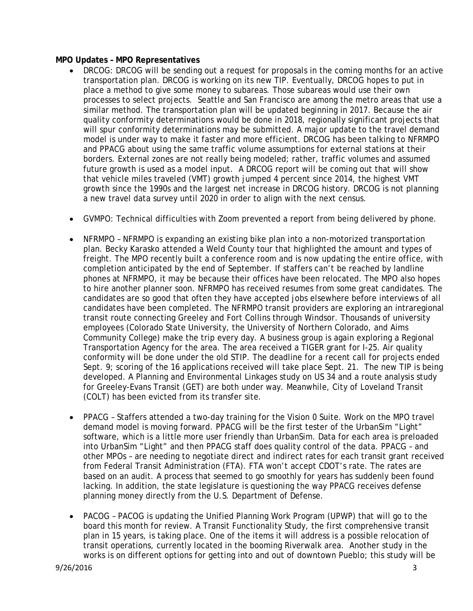### **MPO Updates – MPO Representatives**

- DRCOG: DRCOG will be sending out a request for proposals in the coming months for an active transportation plan. DRCOG is working on its new TIP. Eventually, DRCOG hopes to put in place a method to give some money to subareas. Those subareas would use their own processes to select projects. Seattle and San Francisco are among the metro areas that use a similar method. The transportation plan will be updated beginning in 2017. Because the air quality conformity determinations would be done in 2018, regionally significant projects that will spur conformity determinations may be submitted. A major update to the travel demand model is under way to make it faster and more efficient. DRCOG has been talking to NFRMPO and PPACG about using the same traffic volume assumptions for external stations at their borders. External zones are not really being modeled; rather, traffic volumes and assumed future growth is used as a model input. A DRCOG report will be coming out that will show that vehicle miles traveled (VMT) growth jumped 4 percent since 2014, the highest VMT growth since the 1990s and the largest net increase in DRCOG history. DRCOG is not planning a new travel data survey until 2020 in order to align with the next census.
- GVMPO: Technical difficulties with Zoom prevented a report from being delivered by phone.
- NFRMPO NFRMPO is expanding an existing bike plan into a non-motorized transportation plan. Becky Karasko attended a Weld County tour that highlighted the amount and types of freight. The MPO recently built a conference room and is now updating the entire office, with completion anticipated by the end of September. If staffers can't be reached by landline phones at NFRMPO, it may be because their offices have been relocated. The MPO also hopes to hire another planner soon. NFRMPO has received resumes from some great candidates. The candidates are so good that often they have accepted jobs elsewhere before interviews of all candidates have been completed. The NFRMPO transit providers are exploring an intraregional transit route connecting Greeley and Fort Collins through Windsor. Thousands of university employees (Colorado State University, the University of Northern Colorado, and Aims Community College) make the trip every day. A business group is again exploring a Regional Transportation Agency for the area. The area received a TIGER grant for I-25. Air quality conformity will be done under the old STIP. The deadline for a recent call for projects ended Sept. 9; scoring of the 16 applications received will take place Sept. 21. The new TIP is being developed. A Planning and Environmental Linkages study on US 34 and a route analysis study for Greeley-Evans Transit (GET) are both under way. Meanwhile, City of Loveland Transit (COLT) has been evicted from its transfer site.
- PPACG Staffers attended a two-day training for the Vision 0 Suite. Work on the MPO travel demand model is moving forward. PPACG will be the first tester of the UrbanSim "Light" software, which is a little more user friendly than UrbanSim. Data for each area is preloaded into UrbanSim "Light" and then PPACG staff does quality control of the data. PPACG – and other MPOs – are needing to negotiate direct and indirect rates for each transit grant received from Federal Transit Administration (FTA). FTA won't accept CDOT's rate. The rates are based on an audit. A process that seemed to go smoothly for years has suddenly been found lacking. In addition, the state legislature is questioning the way PPACG receives defense planning money directly from the U.S. Department of Defense.
- PACOG PACOG is updating the Unified Planning Work Program (UPWP) that will go to the board this month for review. A Transit Functionality Study, the first comprehensive transit plan in 15 years, is taking place. One of the items it will address is a possible relocation of transit operations, currently located in the booming Riverwalk area. Another study in the works is on different options for getting into and out of downtown Pueblo; this study will be